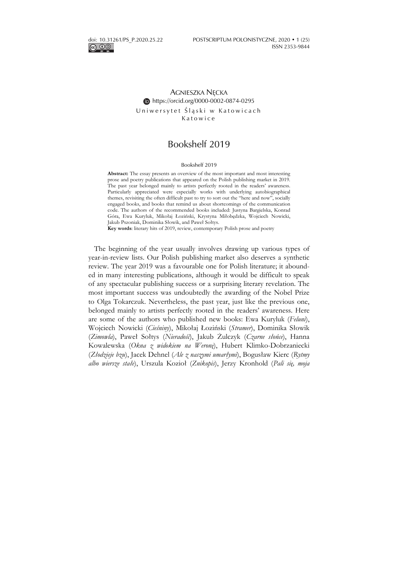ெ 00

## AGNIESZKA NĘCKA https://orcid.org/0000-0002-0874-0295 Uniwersytet Śląski w Katowicach Katowice

# Bookshelf 2019

#### Bookshelf 2019

**Abstract:** The essay presents an overview of the most important and most interesting prose and poetry publications that appeared on the Polish publishing market in 2019. The past year belonged mainly to artists perfectly rooted in the readers' awareness. Particularly appreciated were especially works with underlying autobiographical themes, revisiting the often difficult past to try to sort out the "here and now", socially engaged books, and books that remind us about shortcomings of the communication code. The authors of the recommended books included: Justyna Bargielska, Konrad Góra, Ewa Kuryluk, Mikołaj Łoziński, Krystyna Miłobędzka, Wojciech Nowicki, Jakub Pszoniak, Dominika Słowik, and Paweł Sołtys.

**Key words**: literary hits of 2019, review, contemporary Polish prose and poetry

The beginning of the year usually involves drawing up various types of year-in-review lists. Our Polish publishing market also deserves a synthetic review. The year 2019 was a favourable one for Polish literature; it abounded in many interesting publications, although it would be difficult to speak of any spectacular publishing success or a surprising literary revelation. The most important success was undoubtedly the awarding of the Nobel Prize to Olga Tokarczuk. Nevertheless, the past year, just like the previous one, belonged mainly to artists perfectly rooted in the readers' awareness. Here are some of the authors who published new books: Ewa Kuryluk (*Feluni*), Wojciech Nowicki (*Cieśniny*), Mikołaj Łoziński (*Stramer*), Dominika Słowik (*Zimowla*), Paweł Sołtys (*Nieradość*), Jakub Żulczyk (*Czarne słońce*), Hanna Kowalewska (*Okna z widokiem na Weronę*), Hubert Klimko-Dobrzaniecki (*Złodzieje bzu*), Jacek Dehnel (*Ale z naszymi umarłymi*), Bogusław Kierc (*Rytmy albo wiersze stałe*), Urszula Kozioł (*Znikopis*), Jerzy Kronhold (*Pali się, moja*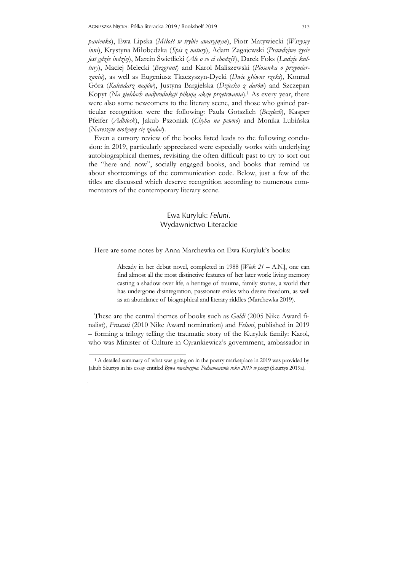*panienko*), Ewa Lipska (*Miłość w trybie awaryjnym*), Piotr Matywiecki (*Wszyscy inni*), Krystyna Miłobędzka (*Spis z natury*), Adam Zagajewski (*Prawdziwe życie jest gdzie indziej*), Marcin Świetlicki (*Ale o co ci chodzi?*), Darek Foks (*Ludzie kultury*), Maciej Melecki (*Bezgrunt*) and Karol Maliszewski (*Piosenka o przymierzaniu*), as well as Eugeniusz Tkaczyszyn-Dycki (*Dwie główne rzeki*), Konrad Góra (*Kalendarz majów*), Justyna Bargielska (*Dziecko z darów*) and Szczepan Kopyt (*Na giełdach nadprodukcji pikują akcje przetrwania*).1 As every year, there were also some newcomers to the literary scene, and those who gained particular recognition were the following: Paula Gotszlich (*Bezdech*), Kasper Pfeifer (*Adblock*), Jakub Pszoniak (*Chyba na pewno*) and Monika Lubińska (*Nareszcie możemy się zjadać*).

Even a cursory review of the books listed leads to the following conclusion: in 2019, particularly appreciated were especially works with underlying autobiographical themes, revisiting the often difficult past to try to sort out the "here and now", socially engaged books, and books that remind us about shortcomings of the communication code. Below, just a few of the titles are discussed which deserve recognition according to numerous commentators of the contemporary literary scene.

#### Ewa Kuryluk: *Feluni.* Wydawnictwo Literackie

Here are some notes by Anna Marchewka on Ewa Kuryluk's books:

Already in her debut novel, completed in 1988 [*Wiek 21* – A.N.], one can find almost all the most distinctive features of her later work: living memory casting a shadow over life, a heritage of trauma, family stories, a world that has undergone disintegration, passionate exiles who desire freedom, as well as an abundance of biographical and literary riddles (Marchewka 2019).

These are the central themes of books such as *Goldi* (2005 Nike Award finalist), *Frascati* (2010 Nike Award nomination) and *Feluni*, published in 2019 – forming a trilogy telling the traumatic story of the Kuryluk family: Karol, who was Minister of Culture in Cyrankiewicz's government, ambassador in

j Jakub Skurtys in his essay entitled *Bywa rewolucyjna. Podsumowanie roku 2019 w poezji* (Skurtys 2019a).<br> <sup>1</sup> A detailed summary of what was going on in the poetry marketplace in 2019 was provided by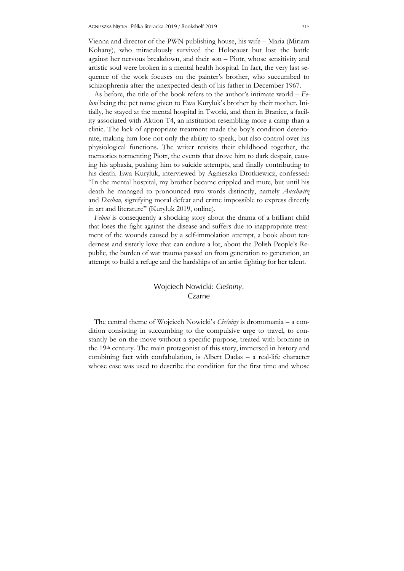Vienna and director of the PWN publishing house, his wife – Maria (Miriam Kohany), who miraculously survived the Holocaust but lost the battle against her nervous breakdown, and their son – Piotr, whose sensitivity and artistic soul were broken in a mental health hospital. In fact, the very last sequence of the work focuses on the painter's brother, who succumbed to schizophrenia after the unexpected death of his father in December 1967.

As before, the title of the book refers to the author's intimate world – *Feluni* being the pet name given to Ewa Kuryluk's brother by their mother. Initially, he stayed at the mental hospital in Tworki, and then in Branice, a facility associated with Aktion T4, an institution resembling more a camp than a clinic. The lack of appropriate treatment made the boy's condition deteriorate, making him lose not only the ability to speak, but also control over his physiological functions. The writer revisits their childhood together, the memories tormenting Piotr, the events that drove him to dark despair, causing his aphasia, pushing him to suicide attempts, and finally contributing to his death. Ewa Kuryluk, interviewed by Agnieszka Drotkiewicz, confessed: "In the mental hospital, my brother became crippled and mute, but until his death he managed to pronounced two words distinctly, namely *Auschwitz* and *Dachau*, signifying moral defeat and crime impossible to express directly in art and literature" (Kuryluk 2019, online).

*Feluni* is consequently a shocking story about the drama of a brilliant child that loses the fight against the disease and suffers due to inappropriate treatment of the wounds caused by a self-immolation attempt, a book about tenderness and sisterly love that can endure a lot, about the Polish People's Republic, the burden of war trauma passed on from generation to generation, an attempt to build a refuge and the hardships of an artist fighting for her talent.

#### Wojciech Nowicki: *Cieśniny*. Czarne

The central theme of Wojciech Nowicki's *Cieśniny* is dromomania – a condition consisting in succumbing to the compulsive urge to travel, to constantly be on the move without a specific purpose, treated with bromine in the 19th century. The main protagonist of this story, immersed in history and combining fact with confabulation, is Albert Dadas – a real-life character whose case was used to describe the condition for the first time and whose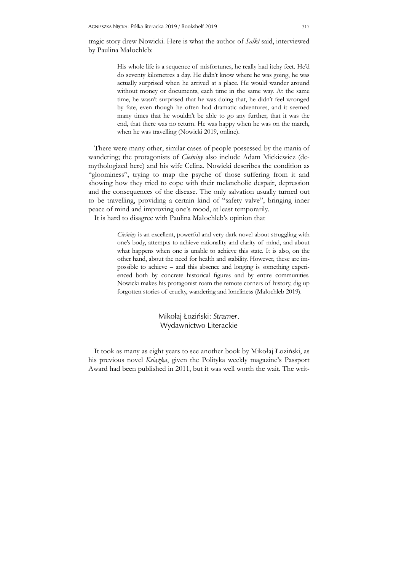tragic story drew Nowicki. Here is what the author of *Salki* said, interviewed by Paulina Małochleb:

> His whole life is a sequence of misfortunes, he really had itchy feet. He'd do seventy kilometres a day. He didn't know where he was going, he was actually surprised when he arrived at a place. He would wander around without money or documents, each time in the same way. At the same time, he wasn't surprised that he was doing that, he didn't feel wronged by fate, even though he often had dramatic adventures, and it seemed many times that he wouldn't be able to go any further, that it was the end, that there was no return. He was happy when he was on the march, when he was travelling (Nowicki 2019, online).

There were many other, similar cases of people possessed by the mania of wandering; the protagonists of *Cieśniny* also include Adam Mickiewicz (demythologized here) and his wife Celina. Nowicki describes the condition as "gloominess", trying to map the psyche of those suffering from it and showing how they tried to cope with their melancholic despair, depression and the consequences of the disease. The only salvation usually turned out to be travelling, providing a certain kind of "safety valve", bringing inner peace of mind and improving one's mood, at least temporarily.

It is hard to disagree with Paulina Małochleb's opinion that

*Cieśniny* is an excellent, powerful and very dark novel about struggling with one's body, attempts to achieve rationality and clarity of mind, and about what happens when one is unable to achieve this state. It is also, on the other hand, about the need for health and stability. However, these are impossible to achieve – and this absence and longing is something experienced both by concrete historical figures and by entire communities. Nowicki makes his protagonist roam the remote corners of history, dig up forgotten stories of cruelty, wandering and loneliness (Małochleb 2019).

> Mikołaj Łoziński: *Stramer*. Wydawnictwo Literackie

It took as many as eight years to see another book by Mikołaj Łoziński, as his previous novel *Książka*, given the Polityka weekly magazine's Passport Award had been published in 2011, but it was well worth the wait. The writ-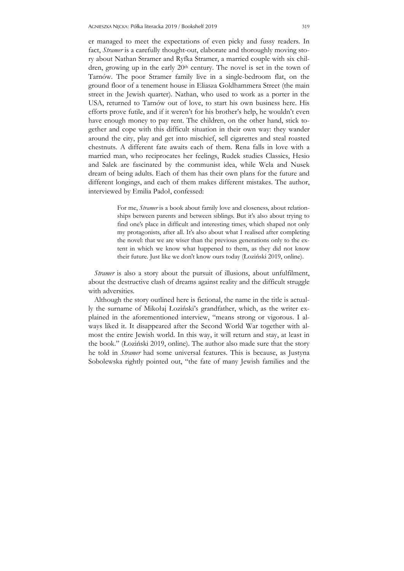er managed to meet the expectations of even picky and fussy readers. In fact, *Stramer* is a carefully thought-out, elaborate and thoroughly moving story about Nathan Stramer and Ryfka Stramer, a married couple with six children, growing up in the early  $20<sup>th</sup>$  century. The novel is set in the town of Tarnów. The poor Stramer family live in a single-bedroom flat, on the ground floor of a tenement house in Eliasza Goldhammera Street (the main street in the Jewish quarter). Nathan, who used to work as a porter in the USA, returned to Tarnów out of love, to start his own business here. His efforts prove futile, and if it weren't for his brother's help, he wouldn't even have enough money to pay rent. The children, on the other hand, stick together and cope with this difficult situation in their own way: they wander around the city, play and get into mischief, sell cigarettes and steal roasted chestnuts. A different fate awaits each of them. Rena falls in love with a married man, who reciprocates her feelings, Rudek studies Classics, Hesio and Salek are fascinated by the communist idea, while Wela and Nusek dream of being adults. Each of them has their own plans for the future and different longings, and each of them makes different mistakes. The author, interviewed by Emilia Padoł, confessed:

> For me, *Stramer* is a book about family love and closeness, about relationships between parents and between siblings. But it's also about trying to find one's place in difficult and interesting times, which shaped not only my protagonists, after all. It's also about what I realised after completing the novel: that we are wiser than the previous generations only to the extent in which we know what happened to them, as they did not know their future. Just like we don't know ours today (Łoziński 2019, online).

*Stramer* is also a story about the pursuit of illusions, about unfulfilment, about the destructive clash of dreams against reality and the difficult struggle with adversities.

Although the story outlined here is fictional, the name in the title is actually the surname of Mikołaj Łoziński's grandfather, which, as the writer explained in the aforementioned interview, "means strong or vigorous. I always liked it. It disappeared after the Second World War together with almost the entire Jewish world. In this way, it will return and stay, at least in the book." (Łoziński 2019, online). The author also made sure that the story he told in *Stramer* had some universal features. This is because, as Justyna Sobolewska rightly pointed out, "the fate of many Jewish families and the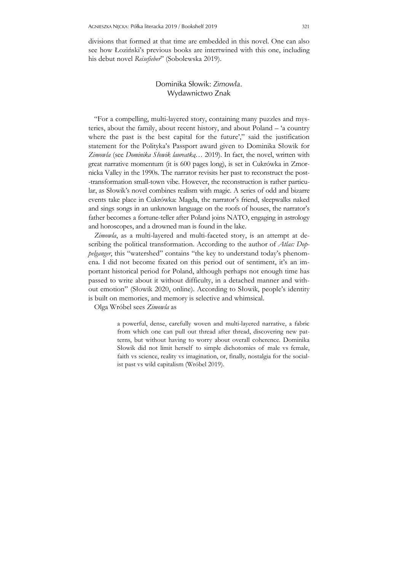divisions that formed at that time are embedded in this novel. One can also see how Łoziński's previous books are intertwined with this one, including his debut novel *Reisefieber*" (Sobolewska 2019).

### Dominika Słowik: *Zimowla*. Wydawnictwo Znak

"For a compelling, multi-layered story, containing many puzzles and mysteries, about the family, about recent history, and about Poland – 'a country where the past is the best capital for the future'," said the justification statement for the Polityka's Passport award given to Dominika Słowik for *Zimowla* (see *Dominika Słowik laureatką*… 2019). In fact, the novel, written with great narrative momentum (it is 600 pages long), is set in Cukrówka in Zmornicka Valley in the 1990s. The narrator revisits her past to reconstruct the post- -transformation small-town vibe. However, the reconstruction is rather particular, as Słowik's novel combines realism with magic. A series of odd and bizarre events take place in Cukrówka: Magda, the narrator's friend, sleepwalks naked and sings songs in an unknown language on the roofs of houses, the narrator's father becomes a fortune-teller after Poland joins NATO, engaging in astrology and horoscopes, and a drowned man is found in the lake.

*Zimowla*, as a multi-layered and multi-faceted story, is an attempt at describing the political transformation. According to the author of *Atlas: Doppelganger*, this "watershed" contains "the key to understand today's phenomena. I did not become fixated on this period out of sentiment, it's an important historical period for Poland, although perhaps not enough time has passed to write about it without difficulty, in a detached manner and without emotion" (Słowik 2020, online). According to Słowik, people's identity is built on memories, and memory is selective and whimsical.

Olga Wróbel sees *Zimowla* as

a powerful, dense, carefully woven and multi-layered narrative, a fabric from which one can pull out thread after thread, discovering new patterns, but without having to worry about overall coherence. Dominika Słowik did not limit herself to simple dichotomies of male vs female, faith vs science, reality vs imagination, or, finally, nostalgia for the socialist past vs wild capitalism (Wróbel 2019).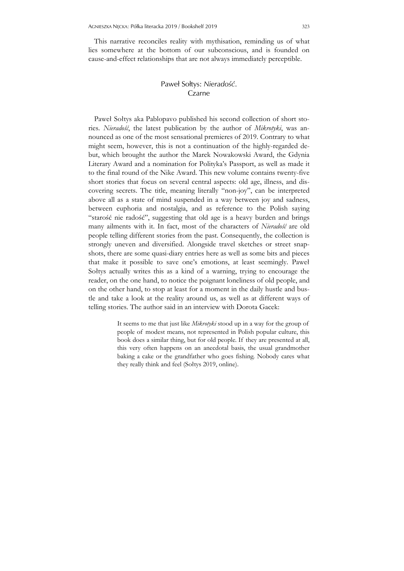This narrative reconciles reality with mythisation, reminding us of what lies somewhere at the bottom of our subconscious, and is founded on cause-and-effect relationships that are not always immediately perceptible.

# Paweł Sołtys: *Nieradość*. Czarne

Paweł Sołtys aka Pablopavo published his second collection of short stories. *Nieradość*, the latest publication by the author of *Mikrotyki*, was announced as one of the most sensational premieres of 2019. Contrary to what might seem, however, this is not a continuation of the highly-regarded debut, which brought the author the Marek Nowakowski Award, the Gdynia Literary Award and a nomination for Polityka's Passport, as well as made it to the final round of the Nike Award. This new volume contains twenty-five short stories that focus on several central aspects: old age, illness, and discovering secrets. The title, meaning literally "non-joy", can be interpreted above all as a state of mind suspended in a way between joy and sadness, between euphoria and nostalgia, and as reference to the Polish saying "starość nie radość", suggesting that old age is a heavy burden and brings many ailments with it. In fact, most of the characters of *Nieradość* are old people telling different stories from the past. Consequently, the collection is strongly uneven and diversified. Alongside travel sketches or street snapshots, there are some quasi-diary entries here as well as some bits and pieces that make it possible to save one's emotions, at least seemingly. Paweł Sołtys actually writes this as a kind of a warning, trying to encourage the reader, on the one hand, to notice the poignant loneliness of old people, and on the other hand, to stop at least for a moment in the daily hustle and bustle and take a look at the reality around us, as well as at different ways of telling stories. The author said in an interview with Dorota Gacek:

> It seems to me that just like *Mikrotyki* stood up in a way for the group of people of modest means, not represented in Polish popular culture, this book does a similar thing, but for old people. If they are presented at all, this very often happens on an anecdotal basis, the usual grandmother baking a cake or the grandfather who goes fishing. Nobody cares what they really think and feel (Sołtys 2019, online).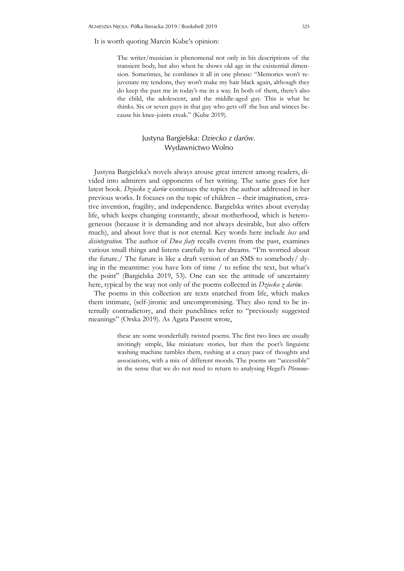It is worth quoting Marcin Kube's opinion:

The writer/musician is phenomenal not only in his descriptions of the transient body, but also when he shows old age in the existential dimension. Sometimes, he combines it all in one phrase: "Memories won't rejuvenate my tendons, they won't make my hair black again, although they do keep the past me in today's me in a way. In both of them, there's also the child, the adolescent, and the middle-aged guy. This is what he thinks. Six or seven guys in that guy who gets off the bus and winces because his knee-joints creak." (Kube 2019).

### Justyna Bargielska: *Dziecko z darów.* Wydawnictwo Wolno

Justyna Bargielska's novels always arouse great interest among readers, divided into admirers and opponents of her writing. The same goes for her latest book. *Dziecko z darów* continues the topics the author addressed in her previous works. It focuses on the topic of children – their imagination, creative invention, fragility, and independence. Bargielska writes about everyday life, which keeps changing constantly, about motherhood, which is heterogeneous (because it is demanding and not always desirable, but also offers much), and about love that is not eternal. Key words here include *loss* and *disintegration*. The author of *Dwa fiaty* recalls events from the past, examines various small things and listens carefully to her dreams. "I'm worried about the future./ The future is like a draft version of an SMS to somebody/ dying in the meantime: you have lots of time / to refine the text, but what's the point" (Bargielska 2019, 53). One can see the attitude of uncertainty here, typical by the way not only of the poems collected in *Dziecko z darów*.

The poems in this collection are texts snatched from life, which makes them intimate, (self-)ironic and uncompromising. They also tend to be internally contradictory, and their punchlines refer to "previously suggested meanings" (Orska 2019). As Agata Passent wrote,

> these are some wonderfully twisted poems. The first two lines are usually invitingly simple, like miniature stories, but then the poet's linguistic washing machine tumbles them, rushing at a crazy pace of thoughts and associations, with a mix of different moods. The poems are "accessible" in the sense that we do not need to return to analysing Hegel's *Phenome-*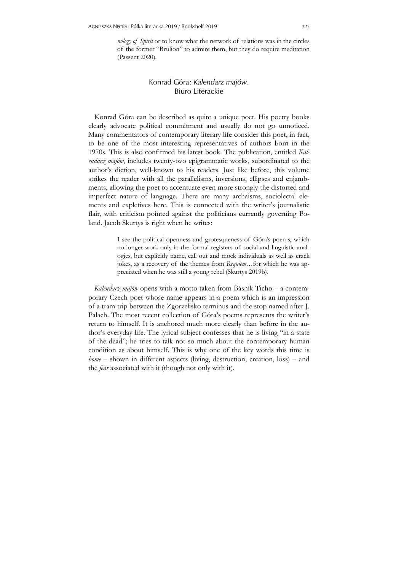*nology of Spirit* or to know what the network of relations was in the circles of the former "Brulion" to admire them, but they do require meditation (Passent 2020).

# Konrad Góra: *Kalendarz majów*. Biuro Literackie

Konrad Góra can be described as quite a unique poet. His poetry books clearly advocate political commitment and usually do not go unnoticed. Many commentators of contemporary literary life consider this poet, in fact, to be one of the most interesting representatives of authors born in the 1970s. This is also confirmed his latest book. The publication, entitled *Kalendarz majów*, includes twenty-two epigrammatic works, subordinated to the author's diction, well-known to his readers. Just like before, this volume strikes the reader with all the parallelisms, inversions, ellipses and enjambments, allowing the poet to accentuate even more strongly the distorted and imperfect nature of language. There are many archaisms, sociolectal elements and expletives here. This is connected with the writer's journalistic flair, with criticism pointed against the politicians currently governing Poland. Jacob Skurtys is right when he writes:

> I see the political openness and grotesqueness of Góra's poems, which no longer work only in the formal registers of social and linguistic analogies, but explicitly name, call out and mock individuals as well as crack jokes, as a recovery of the themes from *Requiem…*for which he was appreciated when he was still a young rebel (Skurtys 2019b).

*Kalendarz majów* opens with a motto taken from Básník Ticho – a contemporary Czech poet whose name appears in a poem which is an impression of a tram trip between the Zgorzelisko terminus and the stop named after J. Palach. The most recent collection of Góra's poems represents the writer's return to himself. It is anchored much more clearly than before in the author's everyday life. The lyrical subject confesses that he is living "in a state of the dead"; he tries to talk not so much about the contemporary human condition as about himself. This is why one of the key words this time is *home* – shown in different aspects (living, destruction, creation, loss) – and the *fear* associated with it (though not only with it).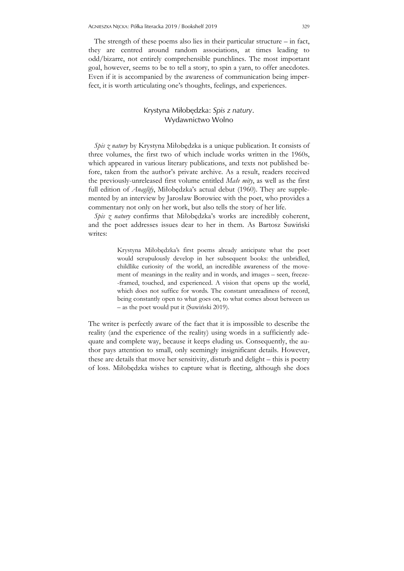The strength of these poems also lies in their particular structure – in fact, they are centred around random associations, at times leading to odd/bizarre, not entirely comprehensible punchlines. The most important goal, however, seems to be to tell a story, to spin a yarn, to offer anecdotes. Even if it is accompanied by the awareness of communication being imperfect, it is worth articulating one's thoughts, feelings, and experiences.

#### Krystyna Miłobędzka: *Spis z natury*. Wydawnictwo Wolno

*Spis z natury* by Krystyna Miłobędzka is a unique publication. It consists of three volumes, the first two of which include works written in the 1960s, which appeared in various literary publications, and texts not published before, taken from the author's private archive. As a result, readers received the previously-unreleased first volume entitled *Małe mity*, as well as the first full edition of *Anaglify*, Miłobędzka's actual debut (1960). They are supplemented by an interview by Jarosław Borowiec with the poet, who provides a commentary not only on her work, but also tells the story of her life.

*Spis z natury* confirms that Miłobędzka's works are incredibly coherent, and the poet addresses issues dear to her in them. As Bartosz Suwiński writes:

> Krystyna Miłobędzka's first poems already anticipate what the poet would scrupulously develop in her subsequent books: the unbridled, childlike curiosity of the world, an incredible awareness of the movement of meanings in the reality and in words, and images – seen, freeze- -framed, touched, and experienced. A vision that opens up the world, which does not suffice for words. The constant unreadiness of record, being constantly open to what goes on, to what comes about between us – as the poet would put it (Suwiński 2019).

The writer is perfectly aware of the fact that it is impossible to describe the reality (and the experience of the reality) using words in a sufficiently adequate and complete way, because it keeps eluding us. Consequently, the author pays attention to small, only seemingly insignificant details. However, these are details that move her sensitivity, disturb and delight – this is poetry of loss. Miłobędzka wishes to capture what is fleeting, although she does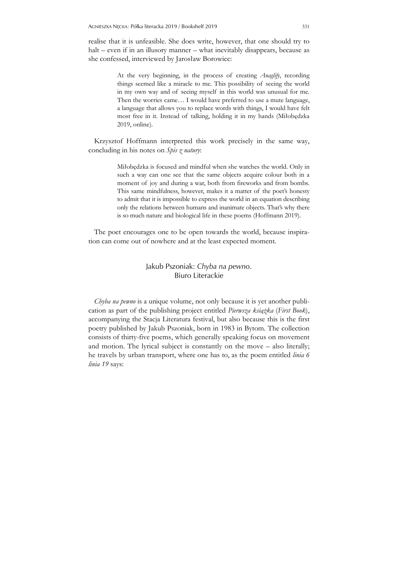realise that it is unfeasible. She does write, however, that one should try to halt – even if in an illusory manner – what inevitably disappears, because as she confessed, interviewed by Jarosław Borowiec:

> At the very beginning, in the process of creating *Anaglify*, recording things seemed like a miracle to me. This possibility of seeing the world in my own way and of seeing myself in this world was unusual for me. Then the worries came… I would have preferred to use a mute language, a language that allows you to replace words with things, I would have felt most free in it. Instead of talking, holding it in my hands (Miłobędzka 2019, online).

Krzysztof Hoffmann interpreted this work precisely in the same way, concluding in his notes on *Spis z natury*:

> Miłobędzka is focused and mindful when she watches the world. Only in such a way can one see that the same objects acquire colour both in a moment of joy and during a war, both from fireworks and from bombs. This same mindfulness, however, makes it a matter of the poet's honesty to admit that it is impossible to express the world in an equation describing only the relations between humans and inanimate objects. That's why there is so much nature and biological life in these poems (Hoffmann 2019).

The poet encourages one to be open towards the world, because inspiration can come out of nowhere and at the least expected moment.

# Jakub Pszoniak: *Chyba na pewno*. Biuro Literackie

*Chyba na pewno* is a unique volume, not only because it is yet another publication as part of the publishing project entitled *Pierwsza książka* (*First Book*), accompanying the Stacja Literatura festival, but also because this is the first poetry published by Jakub Pszoniak, born in 1983 in Bytom. The collection consists of thirty-five poems, which generally speaking focus on movement and motion. The lyrical subject is constantly on the move – also literally; he travels by urban transport, where one has to, as the poem entitled *linia 6 linia 19* says: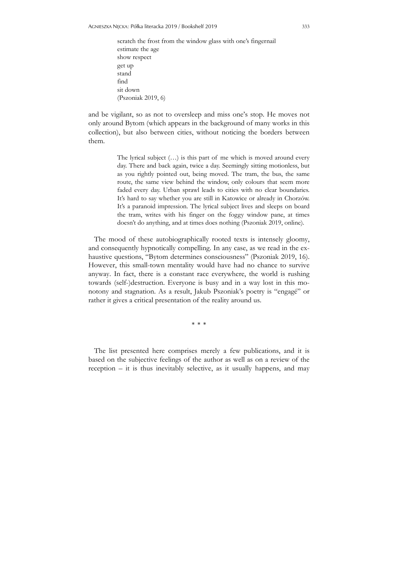scratch the frost from the window glass with one's fingernail estimate the age show respect get up stand find sit down (Pszoniak 2019, 6)

and be vigilant, so as not to oversleep and miss one's stop. He moves not only around Bytom (which appears in the background of many works in this collection), but also between cities, without noticing the borders between them.

> The lyrical subject (…) is this part of me which is moved around every day. There and back again, twice a day. Seemingly sitting motionless, but as you rightly pointed out, being moved. The tram, the bus, the same route, the same view behind the window, only colours that seem more faded every day. Urban sprawl leads to cities with no clear boundaries. It's hard to say whether you are still in Katowice or already in Chorzów. It's a paranoid impression. The lyrical subject lives and sleeps on board the tram, writes with his finger on the foggy window pane, at times doesn't do anything, and at times does nothing (Pszoniak 2019, online).

The mood of these autobiographically rooted texts is intensely gloomy, and consequently hypnotically compelling. In any case, as we read in the exhaustive questions, "Bytom determines consciousness" (Pszoniak 2019, 16). However, this small-town mentality would have had no chance to survive anyway. In fact, there is a constant race everywhere, the world is rushing towards (self-)destruction. Everyone is busy and in a way lost in this monotony and stagnation. As a result, Jakub Pszoniak's poetry is "engagé" or rather it gives a critical presentation of the reality around us.

\* \* \*

The list presented here comprises merely a few publications, and it is based on the subjective feelings of the author as well as on a review of the reception – it is thus inevitably selective, as it usually happens, and may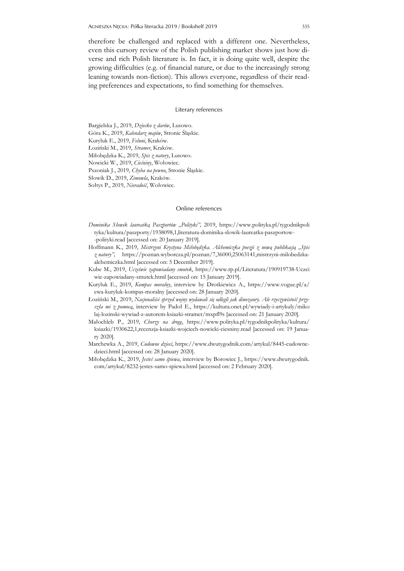therefore be challenged and replaced with a different one. Nevertheless, even this cursory review of the Polish publishing market shows just how diverse and rich Polish literature is. In fact, it is doing quite well, despite the growing difficulties (e.g. of financial nature, or due to the increasingly strong leaning towards non-fiction). This allows everyone, regardless of their reading preferences and expectations, to find something for themselves.

#### Literary references

Bargielska J., 2019, *Dziecko z darów*, Lusowo.

Góra K., 2019, *Kalendarz majów*, Stronie Śląskie.

Kuryluk E., 2019, *Feluni*, Kraków.

Łoziński M., 2019, *Stramer*, Kraków.

Miłobędzka K., 2019, *Spis z natury*, Lusowo.

Nowicki W., 2019, *Cieśniny*, Wołowiec.

Pszoniak J., 2019, *Chyba na pewno*, Stronie Śląskie.

Słowik D., 2019, *Zimowla*, Kraków.

Sołtys P., 2019, *Nieradość*, Wołowiec.

#### Online references

- *Dominika Słowik laureatką Paszportów "Polityki",* 2019, https://www.polityka.pl/tygodnikpoli tyka/kultura/paszporty/1938098,1,literatura-dominika-slowik-laureatka-paszportow- -polityki.read [accessed on: 20 January 2019].
- Hoffmann K., 2019, *Mistrzyni Krystyna Miłobędzka. Alchemiczka poezji z nową publikacją "Spis z natury",* https://poznan.wyborcza.pl/poznan/7,36000,25063141,mistrzyni-milobedzkaalchemiczka.html [accessed on: 5 December 2019].
- Kube M., 2019, *Uczciwie zapowiadany smutek*, https://www.rp.pl/Literatura/190919738-Uczci wie-zapowiadany-smutek.html [accessed on: 15 January 2019].
- Kuryluk E., 2019, *Kompas moralny*, interview by Drotkiewicz A., https://www.vogue.pl/a/ ewa-kuryluk-kompas-moralny [accessed on: 28 January 2020].
- Łoziński M., 2019, *Nacjonaliści sprzed wojny wydawali się odlegli jak dinozaury. Ale rzeczywistość przyszła mi z pomocą*, interview by Padoł E., https://kultura.onet.pl/wywiady-i-artykuly/miko laj-lozinski-wywiad-z-autorem-ksiazki-stramer/mxpfl9s [accessed on: 21 January 2020].
- Małochleb P., 2019, *Chorzy na drogę*, https://www.polityka.pl/tygodnikpolityka/kultura/ ksiazki/1930622,1,recenzja-ksiazki-wojciech-nowicki-ciesniny.read [accessed on: 19 January 2020].
- Marchewka A., 2019, *Cudowne dzieci*, https://www.dwutygodnik.com/artykul/8445-cudownedzieci.html [accessed on: 28 January 2020].
- Miłobędzka K., 2019, *Jesteś samo śpiewa*, interview by Borowiec J., https://www.dwutygodnik. com/artykul/8232-jestes-samo-spiewa.html [accessed on: 2 February 2020].